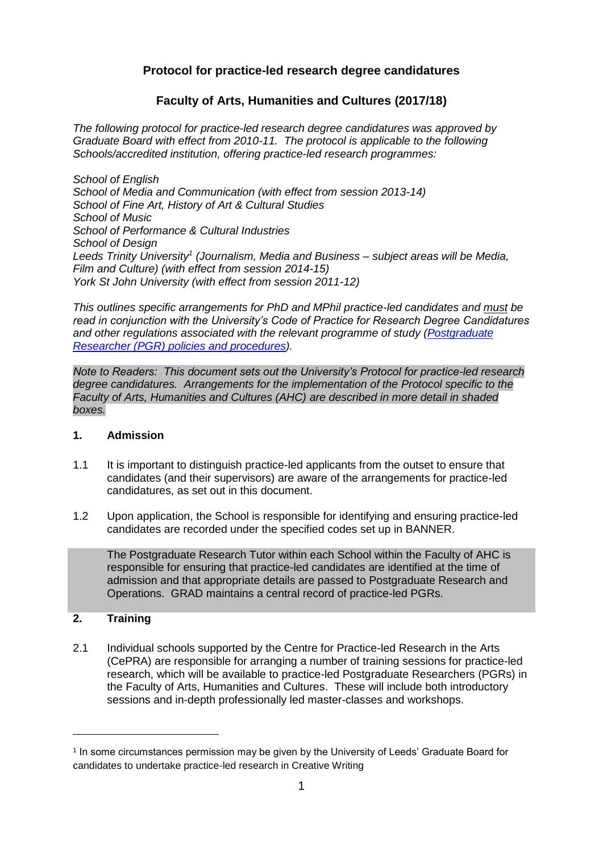# **Protocol for practice-led research degree candidatures**

# **Faculty of Arts, Humanities and Cultures (2017/18)**

*The following protocol for practice-led research degree candidatures was approved by Graduate Board with effect from 2010-11. The protocol is applicable to the following Schools/accredited institution, offering practice-led research programmes:*

*School of English School of Media and Communication (with effect from session 2013-14) School of Fine Art, History of Art & Cultural Studies School of Music School of Performance & Cultural Industries School of Design Leeds Trinity University<sup>1</sup> (Journalism, Media and Business – subject areas will be Media, Film and Culture) (with effect from session 2014-15) York St John University (with effect from session 2011-12)*

*This outlines specific arrangements for PhD and MPhil practice-led candidates and must be read in conjunction with the University's Code of Practice for Research Degree Candidatures and other regulations associated with the relevant programme of study [\(Postgraduate](http://students.leeds.ac.uk/info/103553/research_student_policies_and_procedures)  Researcher (PGR) [policies and procedures\)](http://students.leeds.ac.uk/info/103553/research_student_policies_and_procedures).* 

*Note to Readers: This document sets out the University's Protocol for practice-led research degree candidatures. Arrangements for the implementation of the Protocol specific to the Faculty of Arts, Humanities and Cultures (AHC) are described in more detail in shaded boxes.*

# **1. Admission**

- 1.1 It is important to distinguish practice-led applicants from the outset to ensure that candidates (and their supervisors) are aware of the arrangements for practice-led candidatures, as set out in this document.
- 1.2 Upon application, the School is responsible for identifying and ensuring practice-led candidates are recorded under the specified codes set up in BANNER.

The Postgraduate Research Tutor within each School within the Faculty of AHC is responsible for ensuring that practice-led candidates are identified at the time of admission and that appropriate details are passed to Postgraduate Research and Operations. GRAD maintains a central record of practice-led PGRs.

# **2. Training**

1

2.1 Individual schools supported by the Centre for Practice-led Research in the Arts (CePRA) are responsible for arranging a number of training sessions for practice-led research, which will be available to practice-led Postgraduate Researchers (PGRs) in the Faculty of Arts, Humanities and Cultures. These will include both introductory sessions and in-depth professionally led master-classes and workshops.

<sup>1</sup> In some circumstances permission may be given by the University of Leeds' Graduate Board for candidates to undertake practice-led research in Creative Writing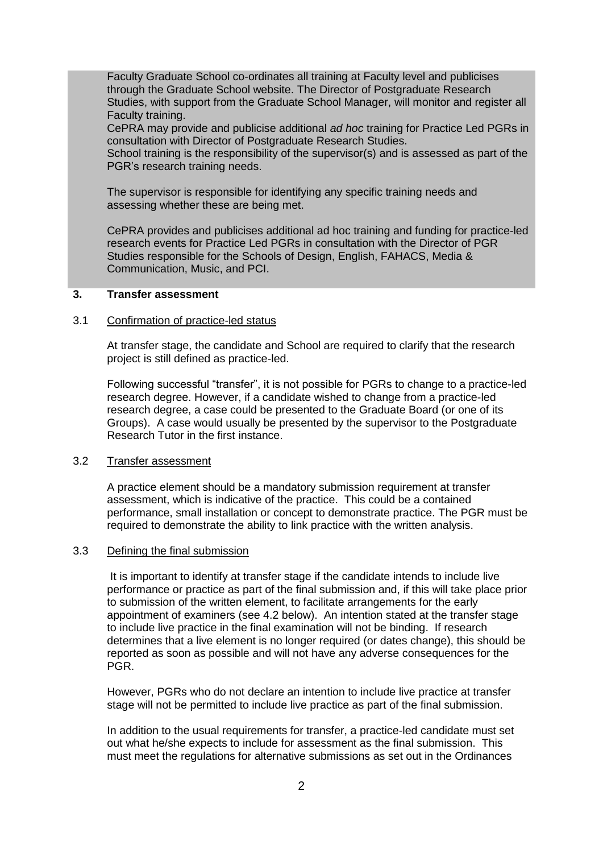Faculty Graduate School co-ordinates all training at Faculty level and publicises through the Graduate School website. The Director of Postgraduate Research Studies, with support from the Graduate School Manager, will monitor and register all Faculty training.

CePRA may provide and publicise additional *ad hoc* training for Practice Led PGRs in consultation with Director of Postgraduate Research Studies.

School training is the responsibility of the supervisor(s) and is assessed as part of the PGR's research training needs.

The supervisor is responsible for identifying any specific training needs and assessing whether these are being met.

CePRA provides and publicises additional ad hoc training and funding for practice-led research events for Practice Led PGRs in consultation with the Director of PGR Studies responsible for the Schools of Design, English, FAHACS, Media & Communication, Music, and PCI.

### **3. Transfer assessment**

#### 3.1 Confirmation of practice-led status

At transfer stage, the candidate and School are required to clarify that the research project is still defined as practice-led.

Following successful "transfer", it is not possible for PGRs to change to a practice-led research degree. However, if a candidate wished to change from a practice-led research degree, a case could be presented to the Graduate Board (or one of its Groups). A case would usually be presented by the supervisor to the Postgraduate Research Tutor in the first instance.

### 3.2 Transfer assessment

A practice element should be a mandatory submission requirement at transfer assessment, which is indicative of the practice. This could be a contained performance, small installation or concept to demonstrate practice. The PGR must be required to demonstrate the ability to link practice with the written analysis.

## 3.3 Defining the final submission

It is important to identify at transfer stage if the candidate intends to include live performance or practice as part of the final submission and, if this will take place prior to submission of the written element, to facilitate arrangements for the early appointment of examiners (see 4.2 below). An intention stated at the transfer stage to include live practice in the final examination will not be binding. If research determines that a live element is no longer required (or dates change), this should be reported as soon as possible and will not have any adverse consequences for the PGR.

However, PGRs who do not declare an intention to include live practice at transfer stage will not be permitted to include live practice as part of the final submission.

In addition to the usual requirements for transfer, a practice-led candidate must set out what he/she expects to include for assessment as the final submission. This must meet the regulations for alternative submissions as set out in the Ordinances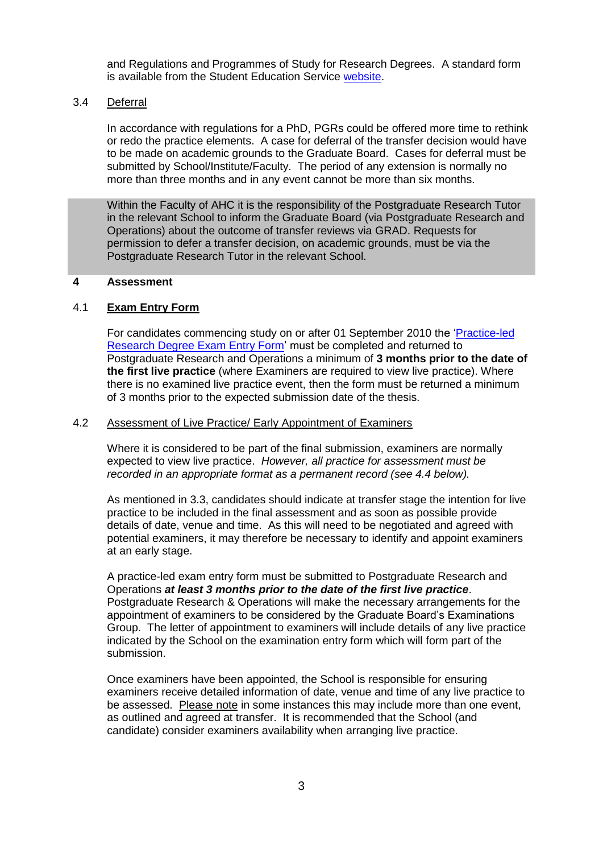and Regulations and Programmes of Study for Research Degrees. A standard form is available from the Student Education Service [website.](http://students.leeds.ac.uk/info/103553/research_student_policies_and_procedures/954/postgraduate_research_forms)

### 3.4 Deferral

In accordance with regulations for a PhD, PGRs could be offered more time to rethink or redo the practice elements. A case for deferral of the transfer decision would have to be made on academic grounds to the Graduate Board. Cases for deferral must be submitted by School/Institute/Faculty. The period of any extension is normally no more than three months and in any event cannot be more than six months.

Within the Faculty of AHC it is the responsibility of the Postgraduate Research Tutor in the relevant School to inform the Graduate Board (via Postgraduate Research and Operations) about the outcome of transfer reviews via GRAD. Requests for permission to defer a transfer decision, on academic grounds, must be via the Postgraduate Research Tutor in the relevant School.

### **4 Assessment**

## 4.1 **Exam Entry Form**

For candidates commencing study on or after 01 September 2010 the ['Practice-led](http://students.leeds.ac.uk/info/103553/research_student_policies_and_procedures/954/postgraduate_research_forms)  [Research Degree Exam Entry Form'](http://students.leeds.ac.uk/info/103553/research_student_policies_and_procedures/954/postgraduate_research_forms) must be completed and returned to Postgraduate Research and Operations a minimum of **3 months prior to the date of the first live practice** (where Examiners are required to view live practice). Where there is no examined live practice event, then the form must be returned a minimum of 3 months prior to the expected submission date of the thesis.

### 4.2 Assessment of Live Practice/ Early Appointment of Examiners

Where it is considered to be part of the final submission, examiners are normally expected to view live practice. *However, all practice for assessment must be recorded in an appropriate format as a permanent record (see 4.4 below).*

As mentioned in 3.3, candidates should indicate at transfer stage the intention for live practice to be included in the final assessment and as soon as possible provide details of date, venue and time. As this will need to be negotiated and agreed with potential examiners, it may therefore be necessary to identify and appoint examiners at an early stage.

A practice-led exam entry form must be submitted to Postgraduate Research and Operations *at least 3 months prior to the date of the first live practice*. Postgraduate Research & Operations will make the necessary arrangements for the appointment of examiners to be considered by the Graduate Board's Examinations Group. The letter of appointment to examiners will include details of any live practice indicated by the School on the examination entry form which will form part of the submission.

Once examiners have been appointed, the School is responsible for ensuring examiners receive detailed information of date, venue and time of any live practice to be assessed. Please note in some instances this may include more than one event, as outlined and agreed at transfer. It is recommended that the School (and candidate) consider examiners availability when arranging live practice.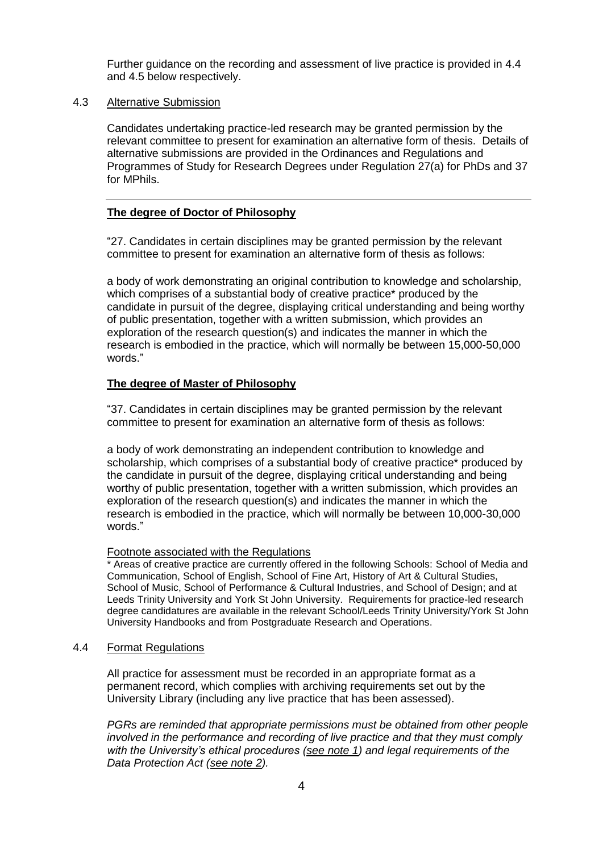Further guidance on the recording and assessment of live practice is provided in 4.4 and 4.5 below respectively.

### 4.3 Alternative Submission

Candidates undertaking practice-led research may be granted permission by the relevant committee to present for examination an alternative form of thesis. Details of alternative submissions are provided in the Ordinances and Regulations and Programmes of Study for Research Degrees under Regulation 27(a) for PhDs and 37 for MPhils.

## **The degree of Doctor of Philosophy**

"27. Candidates in certain disciplines may be granted permission by the relevant committee to present for examination an alternative form of thesis as follows:

a body of work demonstrating an original contribution to knowledge and scholarship, which comprises of a substantial body of creative practice\* produced by the candidate in pursuit of the degree, displaying critical understanding and being worthy of public presentation, together with a written submission, which provides an exploration of the research question(s) and indicates the manner in which the research is embodied in the practice, which will normally be between 15,000-50,000 words."

# **The degree of Master of Philosophy**

"37. Candidates in certain disciplines may be granted permission by the relevant committee to present for examination an alternative form of thesis as follows:

a body of work demonstrating an independent contribution to knowledge and scholarship, which comprises of a substantial body of creative practice\* produced by the candidate in pursuit of the degree, displaying critical understanding and being worthy of public presentation, together with a written submission, which provides an exploration of the research question(s) and indicates the manner in which the research is embodied in the practice, which will normally be between 10,000-30,000 words."

# Footnote associated with the Regulations

\* Areas of creative practice are currently offered in the following Schools: School of Media and Communication, School of English, School of Fine Art, History of Art & Cultural Studies, School of Music, School of Performance & Cultural Industries, and School of Design; and at Leeds Trinity University and York St John University. Requirements for practice-led research degree candidatures are available in the relevant School/Leeds Trinity University/York St John University Handbooks and from Postgraduate Research and Operations.

# 4.4 Format Regulations

All practice for assessment must be recorded in an appropriate format as a permanent record, which complies with archiving requirements set out by the University Library (including any live practice that has been assessed).

*PGRs are reminded that appropriate permissions must be obtained from other people involved in the performance and recording of live practice and that they must comply with the University's ethical procedures (see note 1) and legal requirements of the Data Protection Act (see note 2).*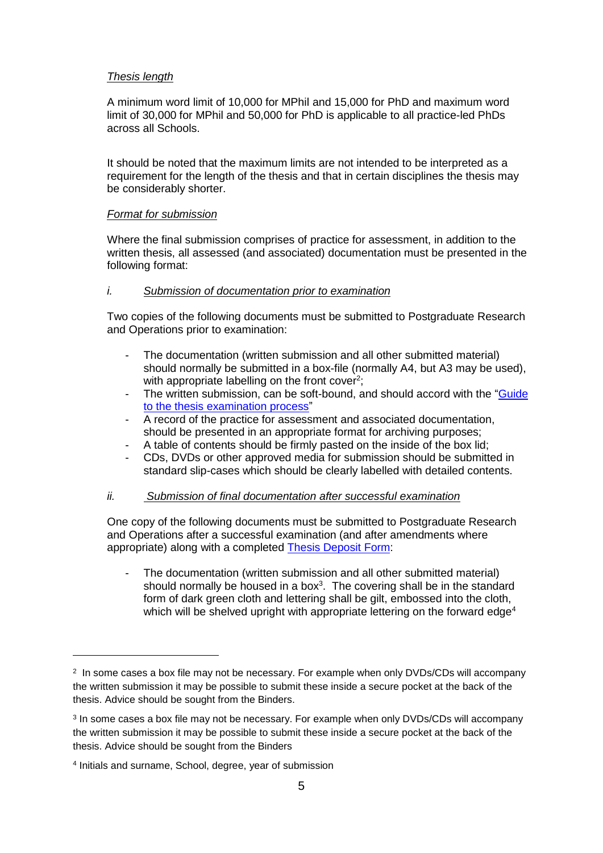## *Thesis length*

A minimum word limit of 10,000 for MPhil and 15,000 for PhD and maximum word limit of 30,000 for MPhil and 50,000 for PhD is applicable to all practice-led PhDs across all Schools.

It should be noted that the maximum limits are not intended to be interpreted as a requirement for the length of the thesis and that in certain disciplines the thesis may be considerably shorter.

## *Format for submission*

Where the final submission comprises of practice for assessment, in addition to the written thesis, all assessed (and associated) documentation must be presented in the following format:

# *i. Submission of documentation prior to examination*

Two copies of the following documents must be submitted to Postgraduate Research and Operations prior to examination:

- The documentation (written submission and all other submitted material) should normally be submitted in a box-file (normally A4, but A3 may be used), with appropriate labelling on the front cover<sup>2</sup>;
- The written submission, can be soft-bound, and should accord with the "Guide" [to the thesis examination process"](http://students.leeds.ac.uk/info/10125/assessment/773/submitting_your_thesis)
- A record of the practice for assessment and associated documentation, should be presented in an appropriate format for archiving purposes;
- A table of contents should be firmly pasted on the inside of the box lid;
- CDs, DVDs or other approved media for submission should be submitted in standard slip-cases which should be clearly labelled with detailed contents.

# *ii. Submission of final documentation after successful examination*

One copy of the following documents must be submitted to Postgraduate Research and Operations after a successful examination (and after amendments where appropriate) along with a completed [Thesis Deposit Form:](http://students.leeds.ac.uk/info/103553/research_student_policies_and_procedures/954/postgraduate_research_forms)

- The documentation (written submission and all other submitted material) should normally be housed in a box $3$ . The covering shall be in the standard form of dark green cloth and lettering shall be gilt, embossed into the cloth, which will be shelved upright with appropriate lettering on the forward edge<sup>4</sup>

1

<sup>2</sup> In some cases a box file may not be necessary. For example when only DVDs/CDs will accompany the written submission it may be possible to submit these inside a secure pocket at the back of the thesis. Advice should be sought from the Binders.

<sup>&</sup>lt;sup>3</sup> In some cases a box file may not be necessary. For example when only DVDs/CDs will accompany the written submission it may be possible to submit these inside a secure pocket at the back of the thesis. Advice should be sought from the Binders

<sup>4</sup> Initials and surname, School, degree, year of submission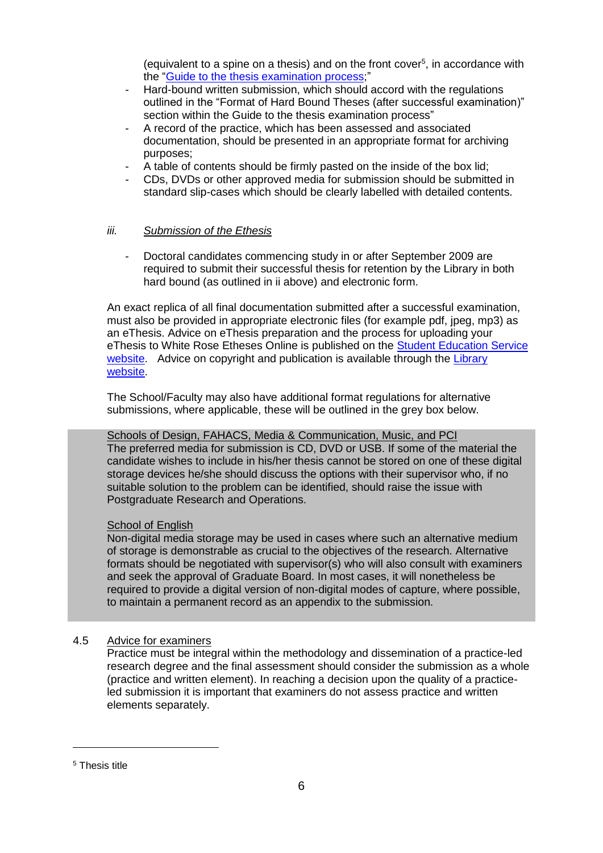(equivalent to a spine on a thesis) and on the front cover $5$ , in accordance with the ["Guide to the thesis examination process;](http://students.leeds.ac.uk/info/10125/assessment/773/submitting_your_thesis)"

- Hard-bound written submission, which should accord with the regulations outlined in the "Format of Hard Bound Theses (after successful examination)" section within the Guide to the thesis examination process"
- A record of the practice, which has been assessed and associated documentation, should be presented in an appropriate format for archiving purposes;
- A table of contents should be firmly pasted on the inside of the box lid:
- CDs, DVDs or other approved media for submission should be submitted in standard slip-cases which should be clearly labelled with detailed contents.

# *iii. Submission of the Ethesis*

- Doctoral candidates commencing study in or after September 2009 are required to submit their successful thesis for retention by the Library in both hard bound (as outlined in ii above) and electronic form.

An exact replica of all final documentation submitted after a successful examination, must also be provided in appropriate electronic files (for example pdf, jpeg, mp3) as an eThesis. Advice on eThesis preparation and the process for uploading your eThesis to White Rose Etheses Online is published on the [Student Education Service](http://students.leeds.ac.uk/info/10125/assessment/913/submitting_your_final_ethesis)  [website.](http://students.leeds.ac.uk/info/10125/assessment/913/submitting_your_final_ethesis) Advice on copyright and publication is available through the Library [website.](http://library.leeds.ac.uk/copyright-for-phds)

The School/Faculty may also have additional format regulations for alternative submissions, where applicable, these will be outlined in the grey box below.

Schools of Design, FAHACS, Media & Communication, Music, and PCI The preferred media for submission is CD, DVD or USB. If some of the material the candidate wishes to include in his/her thesis cannot be stored on one of these digital storage devices he/she should discuss the options with their supervisor who, if no suitable solution to the problem can be identified, should raise the issue with Postgraduate Research and Operations.

# School of English

Non-digital media storage may be used in cases where such an alternative medium of storage is demonstrable as crucial to the objectives of the research. Alternative formats should be negotiated with supervisor(s) who will also consult with examiners and seek the approval of Graduate Board. In most cases, it will nonetheless be required to provide a digital version of non-digital modes of capture, where possible, to maintain a permanent record as an appendix to the submission.

# 4.5 Advice for examiners

Practice must be integral within the methodology and dissemination of a practice-led research degree and the final assessment should consider the submission as a whole (practice and written element). In reaching a decision upon the quality of a practiceled submission it is important that examiners do not assess practice and written elements separately.

1

<sup>5</sup> Thesis title